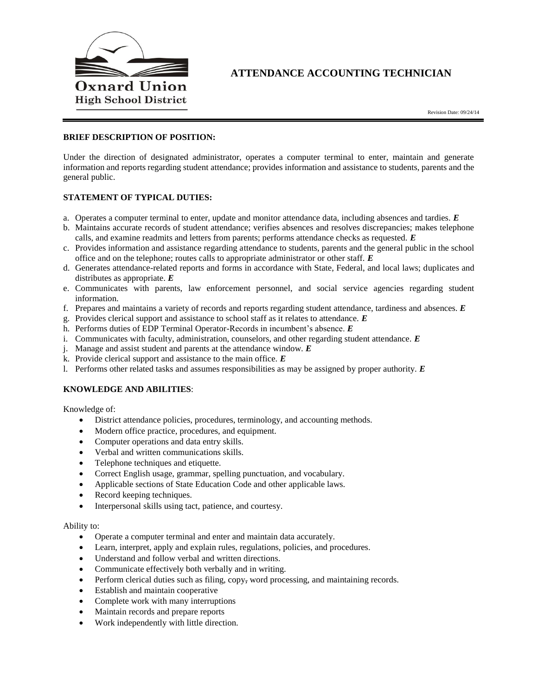

# **ATTENDANCE ACCOUNTING TECHNICIAN**

## **BRIEF DESCRIPTION OF POSITION:**

Under the direction of designated administrator, operates a computer terminal to enter, maintain and generate information and reports regarding student attendance; provides information and assistance to students, parents and the general public.

# **STATEMENT OF TYPICAL DUTIES:**

- a. Operates a computer terminal to enter, update and monitor attendance data, including absences and tardies. *E*
- b. Maintains accurate records of student attendance; verifies absences and resolves discrepancies; makes telephone calls, and examine readmits and letters from parents; performs attendance checks as requested. *E*
- c. Provides information and assistance regarding attendance to students, parents and the general public in the school office and on the telephone; routes calls to appropriate administrator or other staff. *E*
- d. Generates attendance-related reports and forms in accordance with State, Federal, and local laws; duplicates and distributes as appropriate. *E*
- e. Communicates with parents, law enforcement personnel, and social service agencies regarding student information.
- f. Prepares and maintains a variety of records and reports regarding student attendance, tardiness and absences. *E*
- g. Provides clerical support and assistance to school staff as it relates to attendance. *E*
- h. Performs duties of EDP Terminal Operator-Records in incumbent's absence. *E*
- i. Communicates with faculty, administration, counselors, and other regarding student attendance. *E*
- j. Manage and assist student and parents at the attendance window. *E*
- k. Provide clerical support and assistance to the main office. *E*
- l. Performs other related tasks and assumes responsibilities as may be assigned by proper authority. *E*

#### **KNOWLEDGE AND ABILITIES**:

Knowledge of:

- District attendance policies, procedures, terminology, and accounting methods.
- Modern office practice, procedures, and equipment.
- Computer operations and data entry skills.
- Verbal and written communications skills.
- Telephone techniques and etiquette.
- Correct English usage, grammar, spelling punctuation, and vocabulary.
- Applicable sections of State Education Code and other applicable laws.
- Record keeping techniques.
- Interpersonal skills using tact, patience, and courtesy.

#### Ability to:

- Operate a computer terminal and enter and maintain data accurately.
- Learn, interpret, apply and explain rules, regulations, policies, and procedures.
- Understand and follow verbal and written directions.
- Communicate effectively both verbally and in writing.
- Perform clerical duties such as filing, copy, word processing, and maintaining records.
- Establish and maintain cooperative
- Complete work with many interruptions
- Maintain records and prepare reports
- Work independently with little direction.